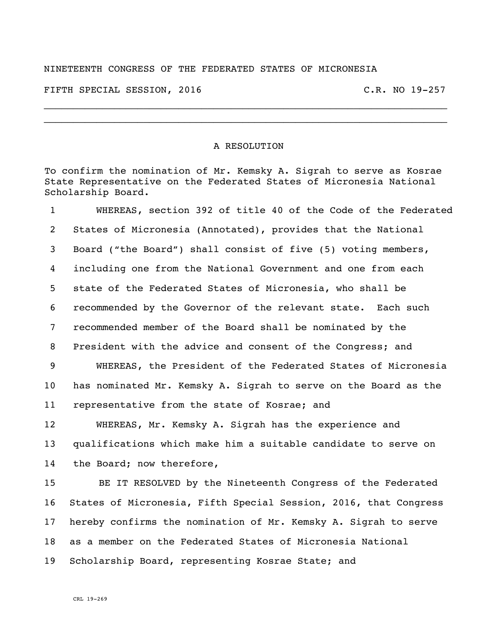## NINETEENTH CONGRESS OF THE FEDERATED STATES OF MICRONESIA

FIFTH SPECIAL SESSION, 2016 C.R. NO 19-257

## A RESOLUTION

\_\_\_\_\_\_\_\_\_\_\_\_\_\_\_\_\_\_\_\_\_\_\_\_\_\_\_\_\_\_\_\_\_\_\_\_\_\_\_\_\_\_\_\_\_\_\_\_\_\_\_\_\_\_\_\_\_\_\_\_\_\_\_\_\_\_\_\_\_ \_\_\_\_\_\_\_\_\_\_\_\_\_\_\_\_\_\_\_\_\_\_\_\_\_\_\_\_\_\_\_\_\_\_\_\_\_\_\_\_\_\_\_\_\_\_\_\_\_\_\_\_\_\_\_\_\_\_\_\_\_\_\_\_\_\_\_\_\_

To confirm the nomination of Mr. Kemsky A. Sigrah to serve as Kosrae State Representative on the Federated States of Micronesia National Scholarship Board.

 WHEREAS, section 392 of title 40 of the Code of the Federated States of Micronesia (Annotated), provides that the National Board ("the Board") shall consist of five (5) voting members, including one from the National Government and one from each state of the Federated States of Micronesia, who shall be recommended by the Governor of the relevant state. Each such recommended member of the Board shall be nominated by the President with the advice and consent of the Congress; and WHEREAS, the President of the Federated States of Micronesia has nominated Mr. Kemsky A. Sigrah to serve on the Board as the representative from the state of Kosrae; and WHEREAS, Mr. Kemsky A. Sigrah has the experience and qualifications which make him a suitable candidate to serve on the Board; now therefore, BE IT RESOLVED by the Nineteenth Congress of the Federated

 States of Micronesia, Fifth Special Session, 2016, that Congress hereby confirms the nomination of Mr. Kemsky A. Sigrah to serve as a member on the Federated States of Micronesia National Scholarship Board, representing Kosrae State; and